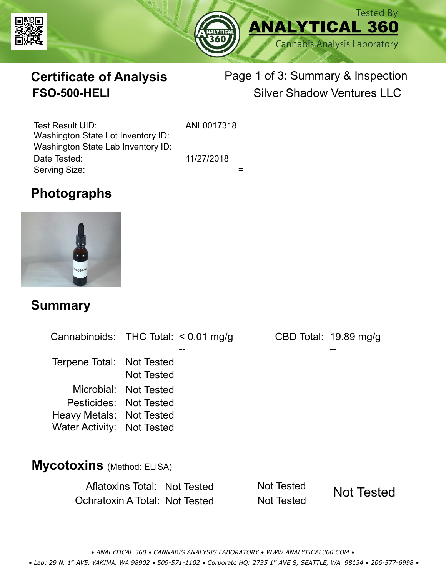



# **Certificate of Analysis**

# Page 1 of 3: Summary & Inspection **FSO-500-HELI** Silver Shadow Ventures LLC

Serving Size:  $=$ Test Result UID: ANL0017318 Date Tested: 11/27/2018 Washington State Lot Inventory ID: Washington State Lab Inventory ID:

# **Photographs**



### **Summary**

Cannabinoids: THC Total:  $< 0.01$  mg/g Terpene Total: Not Tested Microbial: Not Tested CBD Total: 19.89 mg/g Pesticides: Not Tested Heavy Metals: Not Tested -- -- Not Tested Water Activity: Not Tested **Mycotoxins** (Method: ELISA)

> Aflatoxins Total: Not Tested Not Tested Ochratoxin A Total: Not Tested Not Tested Not Tested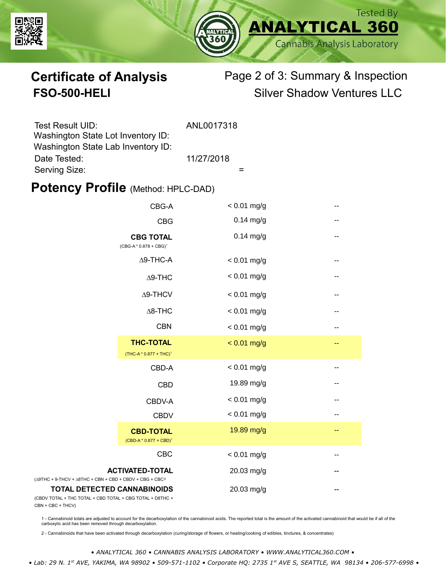



# **Certificate of Analysis** Page 2 of 3: Summary & Inspection **FSO-500-HELI** Silver Shadow Ventures LLC

| Test Result UID:                   | ANL0017318 |
|------------------------------------|------------|
| Washington State Lot Inventory ID: |            |
| Washington State Lab Inventory ID: |            |
| Date Tested:                       | 11/27/2018 |
| Serving Size:                      |            |

#### **Potency Profile (Method: HPLC-DAD)**

|                                                                                           | CBG-A                                                  | $< 0.01$ mg/g | -- |
|-------------------------------------------------------------------------------------------|--------------------------------------------------------|---------------|----|
|                                                                                           | <b>CBG</b>                                             | $0.14$ mg/g   | -- |
| <b>CBG TOTAL</b><br>$(CBG-A * 0.878 + CBG)^1$                                             |                                                        | $0.14$ mg/g   | -- |
|                                                                                           | $\Delta$ 9-THC-A                                       | $< 0.01$ mg/g | -- |
| $\Delta$ 9-THC                                                                            |                                                        | $< 0.01$ mg/g | -- |
|                                                                                           | $\Delta$ 9-THCV                                        | $< 0.01$ mg/g | -- |
|                                                                                           | $\Delta$ 8-THC                                         | $< 0.01$ mg/g | -- |
|                                                                                           | <b>CBN</b>                                             | $< 0.01$ mg/g | -- |
|                                                                                           | <b>THC-TOTAL</b><br>(THC-A * 0.877 + THC) <sup>1</sup> | $< 0.01$ mg/g | -- |
|                                                                                           | CBD-A                                                  | $< 0.01$ mg/g | -- |
|                                                                                           | <b>CBD</b>                                             | 19.89 mg/g    | -- |
|                                                                                           | CBDV-A                                                 | $< 0.01$ mg/g | -- |
|                                                                                           | <b>CBDV</b>                                            | $< 0.01$ mg/g | -- |
|                                                                                           | <b>CBD-TOTAL</b><br>$(CBD-A * 0.877 + CBD)^1$          | 19.89 mg/g    | -- |
|                                                                                           | CBC                                                    | $< 0.01$ mg/g | -- |
| + 9-THCV + $\triangle$ 8THC + CBN + CBD + CBDV + CBG + CBC <sup><math>/2</math></sup>     | <b>ACTIVATED-TOTAL</b>                                 | 20.03 mg/g    | -- |
| <b>TOTAL DETECTED CANNABINOIDS</b><br>TOTAL + THC TOTAL + CBD TOTAL + CBG TOTAL + D8THC + |                                                        | 20.03 mg/g    |    |

(CBDV TOTAL + THC TOTAL CBN + CBC + THCV)

(∆9THC + 9-THCV + ∆8THC

1 - Cannabinoid totals are adjusted to account for the decarboxylation of the cannabinoid acids. The reported total is the amount of the activated cannabinoid that would be if all of the<br>carboxylic acid has been removed th

2 - Cannabinoids that have been activated through decarboxylation (curing/storage of flowers, or heating/cooking of edibles, tinctures, & concentrates)

*• ANALYTICAL 360 • CANNABIS ANALYSIS LABORATORY • WWW.ANALYTICAL360.COM •*

 *• Lab: 29 N. 1st AVE, YAKIMA, WA 98902 • 509-571-1102 • Corporate HQ: 2735 1st AVE S, SEATTLE, WA 98134 • 206-577-6998 •*